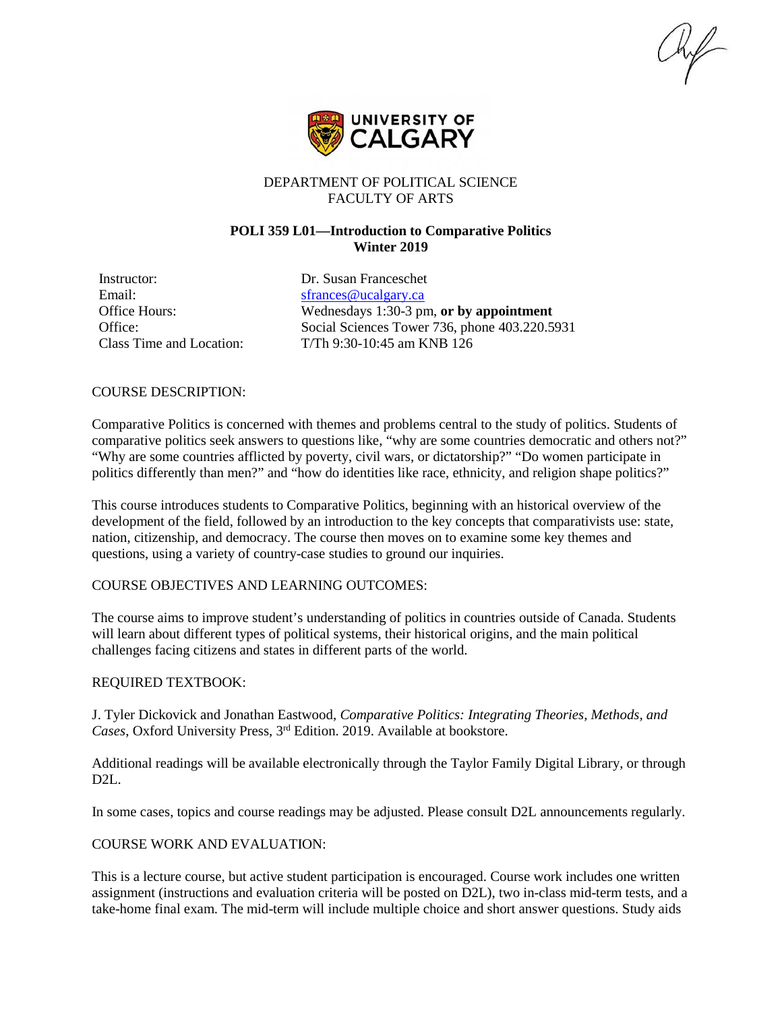$\mathcal{H}$ 



# DEPARTMENT OF POLITICAL SCIENCE FACULTY OF ARTS

# **POLI 359 L01—Introduction to Comparative Politics Winter 2019**

Instructor: Dr. Susan Franceschet Email: [sfrances@ucalgary.ca](mailto:sfrances@ucalgary.ca)

Office Hours: Wednesdays 1:30-3 pm, **or by appointment** Office: Social Sciences Tower 736, phone 403.220.5931 Class Time and Location: T/Th 9:30-10:45 am KNB 126

#### COURSE DESCRIPTION:

Comparative Politics is concerned with themes and problems central to the study of politics. Students of comparative politics seek answers to questions like, "why are some countries democratic and others not?" "Why are some countries afflicted by poverty, civil wars, or dictatorship?" "Do women participate in politics differently than men?" and "how do identities like race, ethnicity, and religion shape politics?"

This course introduces students to Comparative Politics, beginning with an historical overview of the development of the field, followed by an introduction to the key concepts that comparativists use: state, nation, citizenship, and democracy. The course then moves on to examine some key themes and questions, using a variety of country-case studies to ground our inquiries.

## COURSE OBJECTIVES AND LEARNING OUTCOMES:

The course aims to improve student's understanding of politics in countries outside of Canada. Students will learn about different types of political systems, their historical origins, and the main political challenges facing citizens and states in different parts of the world.

## REQUIRED TEXTBOOK:

J. Tyler Dickovick and Jonathan Eastwood, *Comparative Politics: Integrating Theories, Methods, and Cases*, Oxford University Press, 3rd Edition. 2019. Available at bookstore.

Additional readings will be available electronically through the Taylor Family Digital Library, or through D2L.

In some cases, topics and course readings may be adjusted. Please consult D2L announcements regularly.

## COURSE WORK AND EVALUATION:

This is a lecture course, but active student participation is encouraged. Course work includes one written assignment (instructions and evaluation criteria will be posted on D2L), two in-class mid-term tests, and a take-home final exam. The mid-term will include multiple choice and short answer questions. Study aids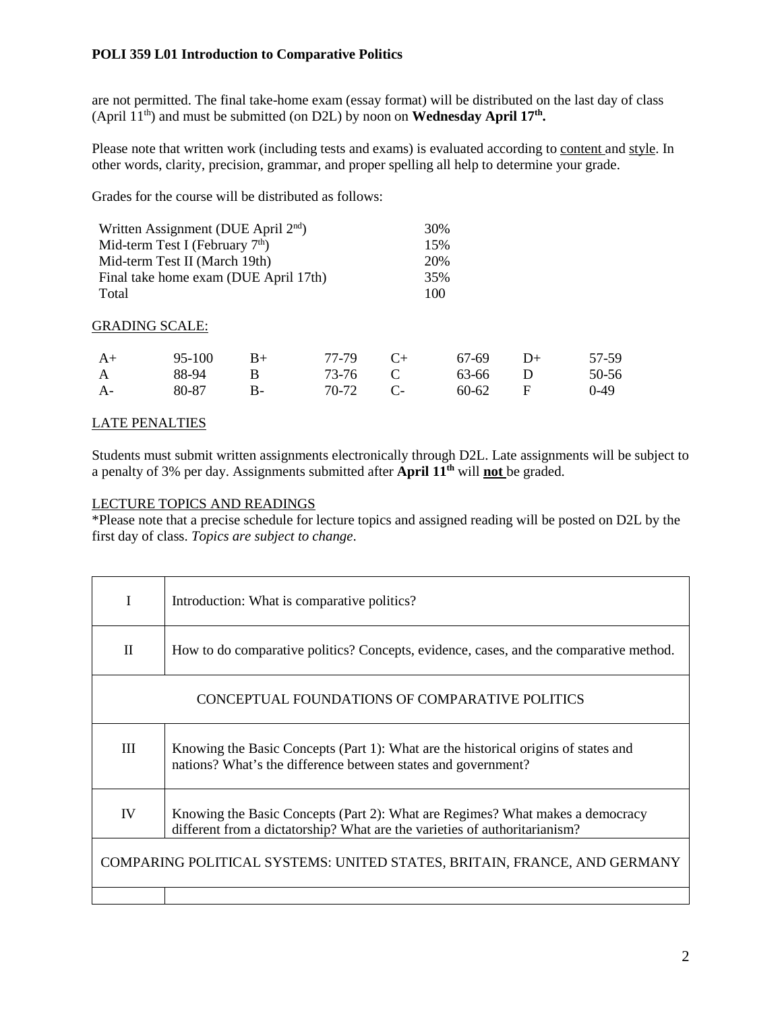are not permitted. The final take-home exam (essay format) will be distributed on the last day of class (April  $11^{th}$ ) and must be submitted (on D2L) by noon on **Wednesday April 17<sup>th</sup>.** 

Please note that written work (including tests and exams) is evaluated according to content and style. In other words, clarity, precision, grammar, and proper spelling all help to determine your grade.

Grades for the course will be distributed as follows:

| Written Assignment (DUE April 2 <sup>nd</sup> ) |                       |      |       |                      | 30%       |      |        |
|-------------------------------------------------|-----------------------|------|-------|----------------------|-----------|------|--------|
| Mid-term Test I (February $7th$ )               |                       |      |       |                      | 15%       |      |        |
| Mid-term Test II (March 19th)                   |                       |      |       |                      | 20%       |      |        |
| Final take home exam (DUE April 17th)           |                       |      |       |                      | 35%       |      |        |
| Total                                           |                       |      |       | 100                  |           |      |        |
|                                                 | <b>GRADING SCALE:</b> |      |       |                      |           |      |        |
| $A+$                                            | 95-100                | $B+$ | 77-79 | $C+$                 | 67-69     | $D+$ | 57-59  |
| A                                               | 88-94                 | B    | 73-76 | C                    | 63-66     | D    | 50-56  |
| $A-$                                            | 80-87                 | В-   | 70-72 | $\mathsf{C}\text{-}$ | $60 - 62$ | F    | $0-49$ |

# LATE PENALTIES

Students must submit written assignments electronically through D2L. Late assignments will be subject to a penalty of 3% per day. Assignments submitted after **April 11th** will **not** be graded.

## LECTURE TOPICS AND READINGS

\*Please note that a precise schedule for lecture topics and assigned reading will be posted on D2L by the first day of class. *Topics are subject to change*.

| I                                                                        | Introduction: What is comparative politics?                                                                                                                 |  |  |  |
|--------------------------------------------------------------------------|-------------------------------------------------------------------------------------------------------------------------------------------------------------|--|--|--|
| $\mathbf{I}$                                                             | How to do comparative politics? Concepts, evidence, cases, and the comparative method.                                                                      |  |  |  |
|                                                                          | CONCEPTUAL FOUNDATIONS OF COMPARATIVE POLITICS                                                                                                              |  |  |  |
| III                                                                      | Knowing the Basic Concepts (Part 1): What are the historical origins of states and<br>nations? What's the difference between states and government?         |  |  |  |
| IV                                                                       | Knowing the Basic Concepts (Part 2): What are Regimes? What makes a democracy<br>different from a dictatorship? What are the varieties of authoritarianism? |  |  |  |
| COMPARING POLITICAL SYSTEMS: UNITED STATES, BRITAIN, FRANCE, AND GERMANY |                                                                                                                                                             |  |  |  |
|                                                                          |                                                                                                                                                             |  |  |  |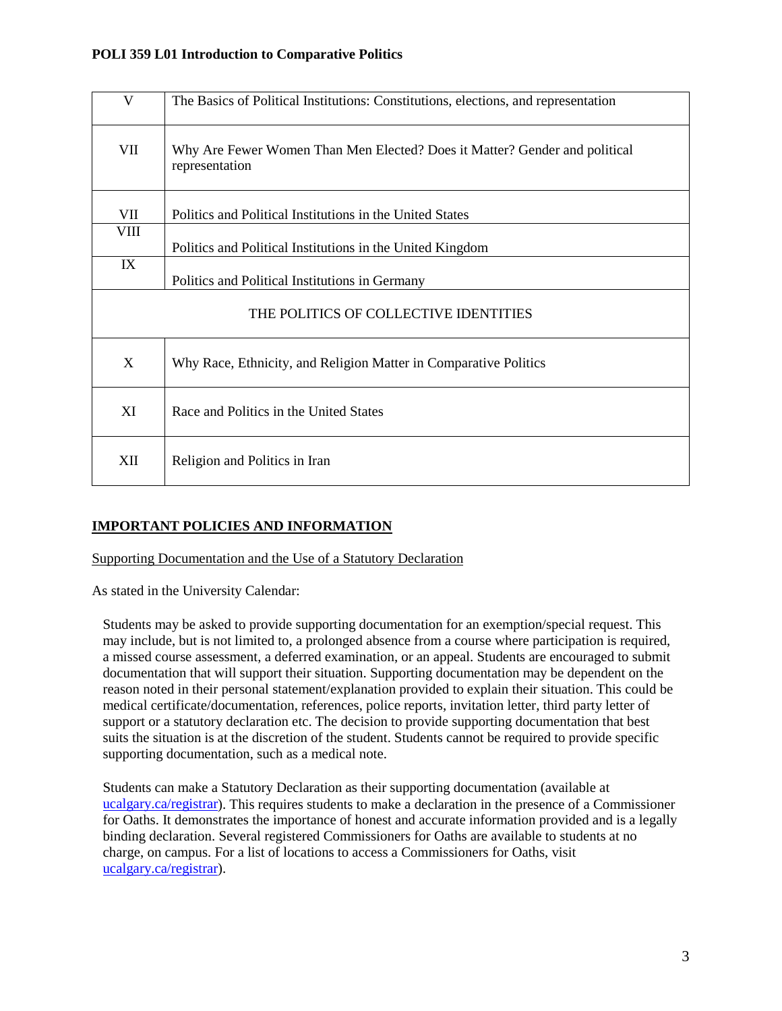| V                                     | The Basics of Political Institutions: Constitutions, elections, and representation           |  |  |  |  |
|---------------------------------------|----------------------------------------------------------------------------------------------|--|--|--|--|
| VII                                   | Why Are Fewer Women Than Men Elected? Does it Matter? Gender and political<br>representation |  |  |  |  |
| VII                                   | Politics and Political Institutions in the United States                                     |  |  |  |  |
| VIII                                  | Politics and Political Institutions in the United Kingdom                                    |  |  |  |  |
| IX                                    | Politics and Political Institutions in Germany                                               |  |  |  |  |
| THE POLITICS OF COLLECTIVE IDENTITIES |                                                                                              |  |  |  |  |
| X                                     | Why Race, Ethnicity, and Religion Matter in Comparative Politics                             |  |  |  |  |
| XI                                    | Race and Politics in the United States                                                       |  |  |  |  |
| XII                                   | Religion and Politics in Iran                                                                |  |  |  |  |

# **IMPORTANT POLICIES AND INFORMATION**

Supporting Documentation and the Use of a Statutory Declaration

As stated in the University Calendar:

Students may be asked to provide supporting documentation for an exemption/special request. This may include, but is not limited to, a prolonged absence from a course where participation is required, a missed course assessment, a deferred examination, or an appeal. Students are encouraged to submit documentation that will support their situation. Supporting documentation may be dependent on the reason noted in their personal statement/explanation provided to explain their situation. This could be medical certificate/documentation, references, police reports, invitation letter, third party letter of support or a statutory declaration etc. The decision to provide supporting documentation that best suits the situation is at the discretion of the student. Students cannot be required to provide specific supporting documentation, such as a medical note.

Students can make a Statutory Declaration as their supporting documentation (available at [ucalgary.ca/registrar\)](http://www.ucalgary.ca/registrar). This requires students to make a declaration in the presence of a Commissioner for Oaths. It demonstrates the importance of honest and accurate information provided and is a legally binding declaration. Several registered Commissioners for Oaths are available to students at no charge, on campus. For a list of locations to access a Commissioners for Oaths, visit [ucalgary.ca/registrar\)](http://www.ucalgary.ca/registrar).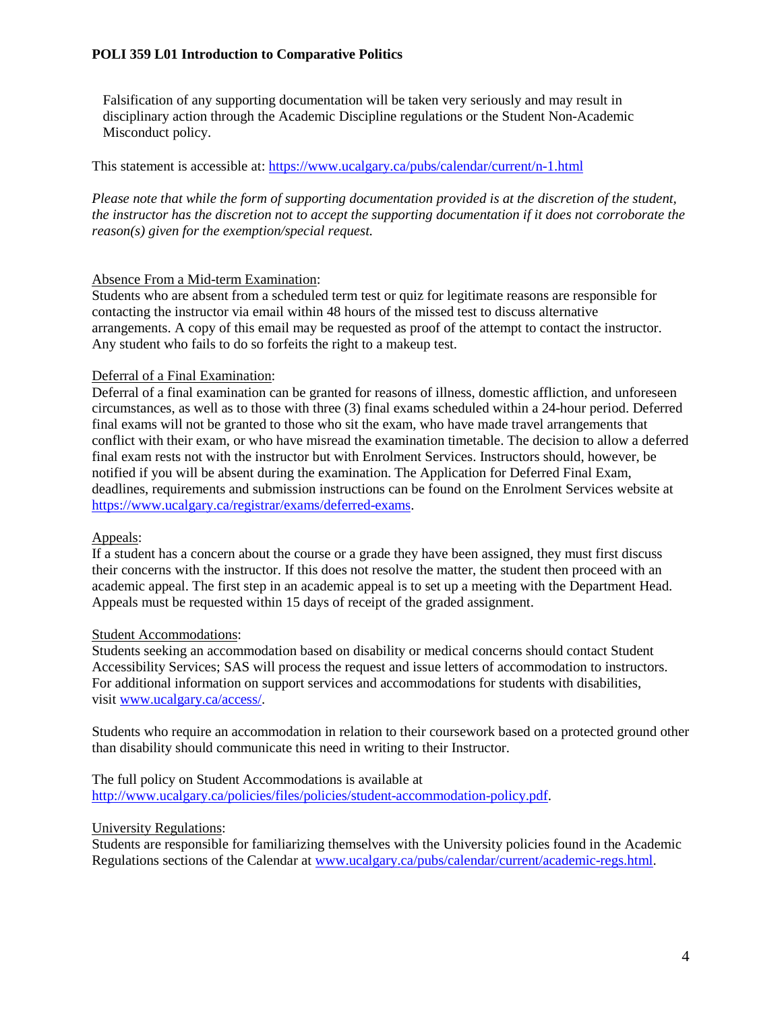Falsification of any supporting documentation will be taken very seriously and may result in disciplinary action through the Academic Discipline regulations or the Student Non-Academic Misconduct policy.

This statement is accessible at:<https://www.ucalgary.ca/pubs/calendar/current/n-1.html>

*Please note that while the form of supporting documentation provided is at the discretion of the student, the instructor has the discretion not to accept the supporting documentation if it does not corroborate the reason(s) given for the exemption/special request.*

## Absence From a Mid-term Examination:

Students who are absent from a scheduled term test or quiz for legitimate reasons are responsible for contacting the instructor via email within 48 hours of the missed test to discuss alternative arrangements. A copy of this email may be requested as proof of the attempt to contact the instructor. Any student who fails to do so forfeits the right to a makeup test.

## Deferral of a Final Examination:

Deferral of a final examination can be granted for reasons of illness, domestic affliction, and unforeseen circumstances, as well as to those with three (3) final exams scheduled within a 24-hour period. Deferred final exams will not be granted to those who sit the exam, who have made travel arrangements that conflict with their exam, or who have misread the examination timetable. The decision to allow a deferred final exam rests not with the instructor but with Enrolment Services. Instructors should, however, be notified if you will be absent during the examination. The Application for Deferred Final Exam, deadlines, requirements and submission instructions can be found on the Enrolment Services website at [https://www.ucalgary.ca/registrar/exams/deferred-exams.](https://www.ucalgary.ca/registrar/exams/deferred-exams)

#### Appeals:

If a student has a concern about the course or a grade they have been assigned, they must first discuss their concerns with the instructor. If this does not resolve the matter, the student then proceed with an academic appeal. The first step in an academic appeal is to set up a meeting with the Department Head. Appeals must be requested within 15 days of receipt of the graded assignment.

# Student Accommodations:

Students seeking an accommodation based on disability or medical concerns should contact Student Accessibility Services; SAS will process the request and issue letters of accommodation to instructors. For additional information on support services and accommodations for students with disabilities, visit [www.ucalgary.ca/access/.](http://www.ucalgary.ca/access/)

Students who require an accommodation in relation to their coursework based on a protected ground other than disability should communicate this need in writing to their Instructor.

The full policy on Student Accommodations is available at [http://www.ucalgary.ca/policies/files/policies/student-accommodation-policy.pdf.](http://www.ucalgary.ca/policies/files/policies/student-accommodation-policy.pdf)

#### University Regulations:

Students are responsible for familiarizing themselves with the University policies found in the Academic Regulations sections of the Calendar a[t www.ucalgary.ca/pubs/calendar/current/academic-regs.html.](http://www.ucalgary.ca/pubs/calendar/current/academic-regs.html)